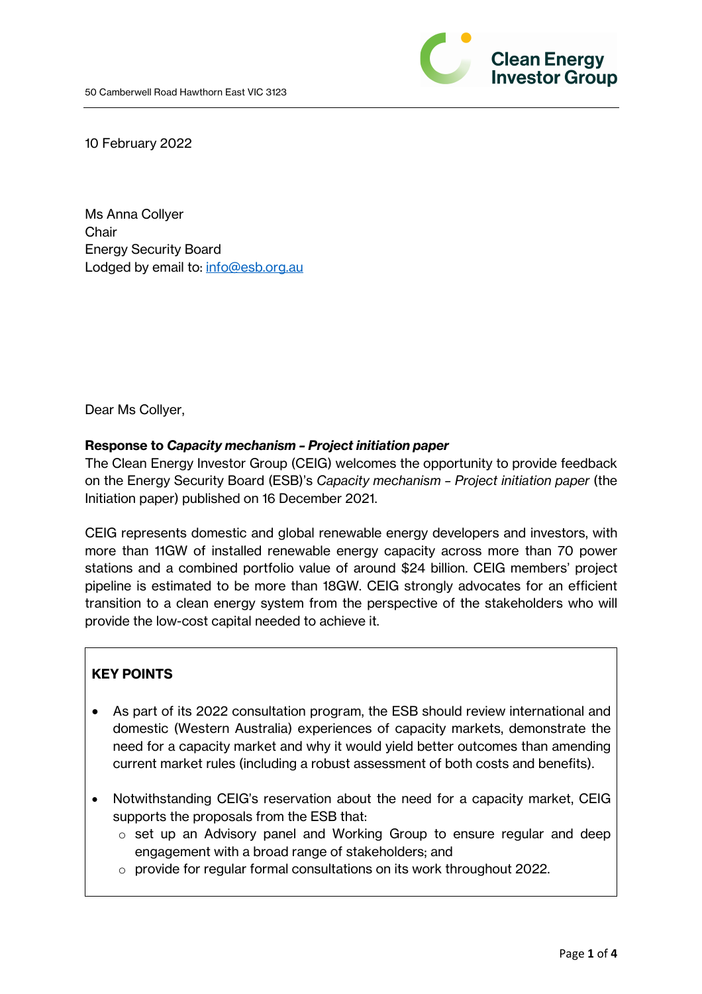

10 February 2022

Ms Anna Collyer **Chair** Energy Security Board Lodged by email to: info@esb.org.au

Dear Ms Collyer,

#### **Response to** *Capacity mechanism – Project initiation paper*

The Clean Energy Investor Group (CEIG) welcomes the opportunity to provide feedback on the Energy Security Board (ESB)'s *Capacity mechanism – Project initiation paper* (the Initiation paper) published on 16 December 2021.

CEIG represents domestic and global renewable energy developers and investors, with more than 11GW of installed renewable energy capacity across more than 70 power stations and a combined portfolio value of around \$24 billion. CEIG members' project pipeline is estimated to be more than 18GW. CEIG strongly advocates for an efficient transition to a clean energy system from the perspective of the stakeholders who will provide the low-cost capital needed to achieve it.

## **KEY POINTS**

- As part of its 2022 consultation program, the ESB should review international and domestic (Western Australia) experiences of capacity markets, demonstrate the need for a capacity market and why it would yield better outcomes than amending current market rules (including a robust assessment of both costs and benefits).
- Notwithstanding CEIG's reservation about the need for a capacity market, CEIG supports the proposals from the ESB that:
	- o set up an Advisory panel and Working Group to ensure regular and deep engagement with a broad range of stakeholders; and
	- o provide for regular formal consultations on its work throughout 2022.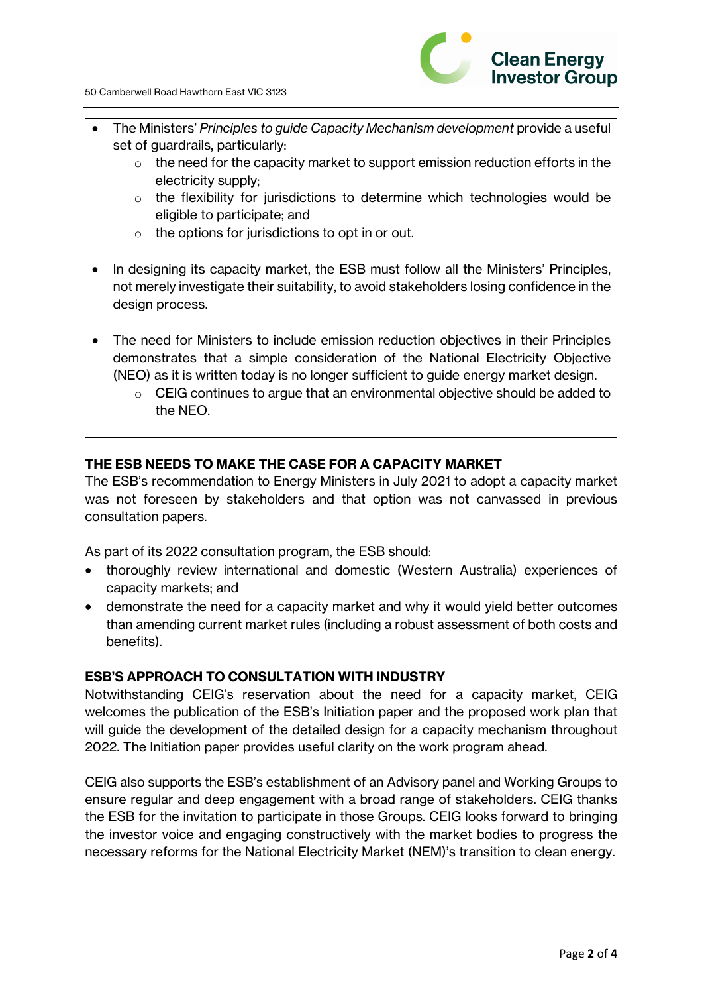

- The Ministers' *Principles to guide Capacity Mechanism development* provide a useful set of guardrails, particularly:
	- $\circ$  the need for the capacity market to support emission reduction efforts in the electricity supply;
	- $\circ$  the flexibility for jurisdictions to determine which technologies would be eligible to participate; and
	- $\circ$  the options for jurisdictions to opt in or out.
- In designing its capacity market, the ESB must follow all the Ministers' Principles, not merely investigate their suitability, to avoid stakeholders losing confidence in the design process.
- The need for Ministers to include emission reduction objectives in their Principles demonstrates that a simple consideration of the National Electricity Objective (NEO) as it is written today is no longer sufficient to guide energy market design.
	- o CEIG continues to argue that an environmental objective should be added to the NEO.

# **THE ESB NEEDS TO MAKE THE CASE FOR A CAPACITY MARKET**

The ESB's recommendation to Energy Ministers in July 2021 to adopt a capacity market was not foreseen by stakeholders and that option was not canvassed in previous consultation papers.

As part of its 2022 consultation program, the ESB should:

- thoroughly review international and domestic (Western Australia) experiences of capacity markets; and
- demonstrate the need for a capacity market and why it would yield better outcomes than amending current market rules (including a robust assessment of both costs and benefits).

## **ESB'S APPROACH TO CONSULTATION WITH INDUSTRY**

Notwithstanding CEIG's reservation about the need for a capacity market, CEIG welcomes the publication of the ESB's Initiation paper and the proposed work plan that will guide the development of the detailed design for a capacity mechanism throughout 2022. The Initiation paper provides useful clarity on the work program ahead.

CEIG also supports the ESB's establishment of an Advisory panel and Working Groups to ensure regular and deep engagement with a broad range of stakeholders. CEIG thanks the ESB for the invitation to participate in those Groups. CEIG looks forward to bringing the investor voice and engaging constructively with the market bodies to progress the necessary reforms for the National Electricity Market (NEM)'s transition to clean energy.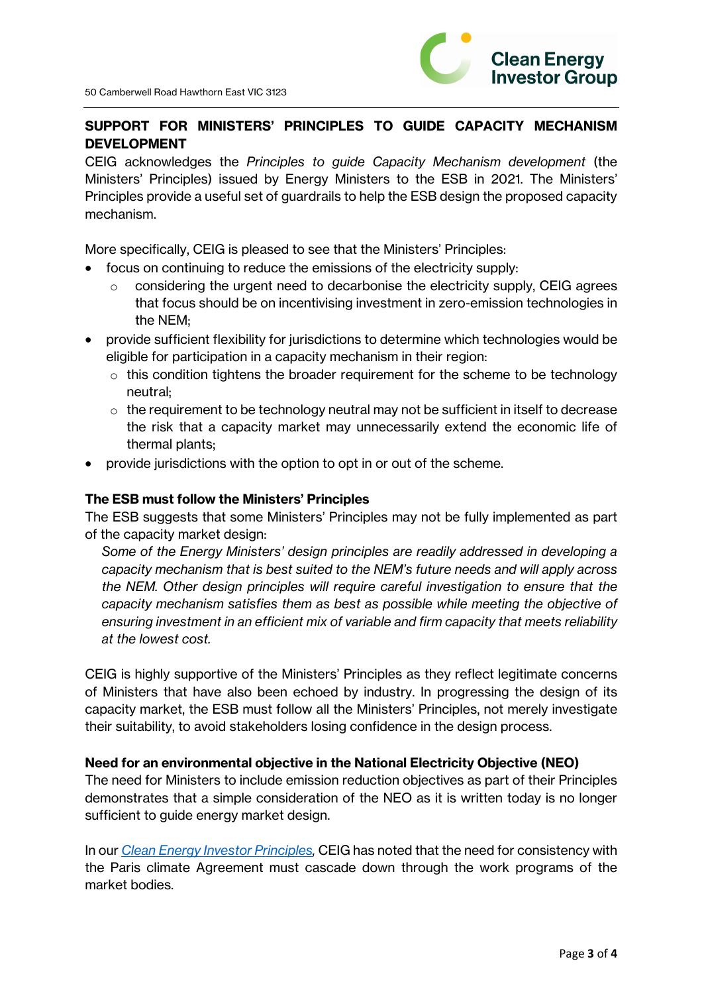

## **SUPPORT FOR MINISTERS' PRINCIPLES TO GUIDE CAPACITY MECHANISM DEVELOPMENT**

CEIG acknowledges the *Principles to guide Capacity Mechanism development* (the Ministers' Principles) issued by Energy Ministers to the ESB in 2021. The Ministers' Principles provide a useful set of guardrails to help the ESB design the proposed capacity mechanism.

More specifically, CEIG is pleased to see that the Ministers' Principles:

- focus on continuing to reduce the emissions of the electricity supply:
	- $\circ$  considering the urgent need to decarbonise the electricity supply, CEIG agrees that focus should be on incentivising investment in zero-emission technologies in the NEM;
- provide sufficient flexibility for jurisdictions to determine which technologies would be eligible for participation in a capacity mechanism in their region:
	- $\circ$  this condition tightens the broader requirement for the scheme to be technology neutral;
	- $\circ$  the requirement to be technology neutral may not be sufficient in itself to decrease the risk that a capacity market may unnecessarily extend the economic life of thermal plants;
- provide jurisdictions with the option to opt in or out of the scheme.

#### **The ESB must follow the Ministers' Principles**

The ESB suggests that some Ministers' Principles may not be fully implemented as part of the capacity market design:

*Some of the Energy Ministers' design principles are readily addressed in developing a capacity mechanism that is best suited to the NEM's future needs and will apply across the NEM. Other design principles will require careful investigation to ensure that the capacity mechanism satisfies them as best as possible while meeting the objective of ensuring investment in an efficient mix of variable and firm capacity that meets reliability at the lowest cost.*

CEIG is highly supportive of the Ministers' Principles as they reflect legitimate concerns of Ministers that have also been echoed by industry. In progressing the design of its capacity market, the ESB must follow all the Ministers' Principles, not merely investigate their suitability, to avoid stakeholders losing confidence in the design process.

#### **Need for an environmental objective in the National Electricity Objective (NEO)**

The need for Ministers to include emission reduction objectives as part of their Principles demonstrates that a simple consideration of the NEO as it is written today is no longer sufficient to guide energy market design.

In our *Clean Energy Investor Principles,* CEIG has noted that the need for consistency with the Paris climate Agreement must cascade down through the work programs of the market bodies.